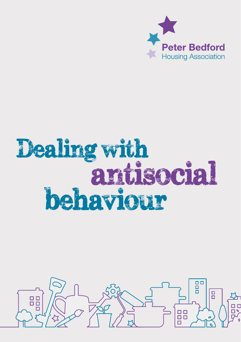

# Dealing with<br>antisocial behaviour

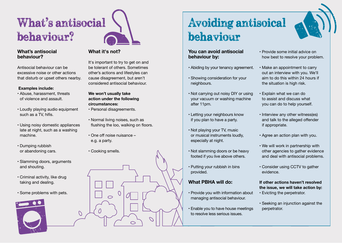

#### **What's antisocial behaviour?**

Antisocial behaviour can be excessive noise or other actions that disturb or upset others nearby.

#### **Examples include:**

- Abuse, harassment, threats of violence and assault.
- Loudly playing audio equipment such as a TV, hifis.
- Using noisy domestic appliances late at night, such as a washing machine.
- Dumping rubbish or abandoning cars.
- Slamming doors, arguments and shouting.
- Criminal activity, like drug taking and dealing.
- Some problems with pets.



#### **What it's not?**

It's important to try to get on and be tolerant of others. Sometimes other's actions and lifestyles can cause disagreement, but aren't considered antisocial behaviour.

#### **We won't usually take action under the following circumstances:**

- Personal disagreements.
- Normal living noises, such as flushing the loo, walking on floors.
- One off noise nuisance e.g. a party.
- Cooking smells.

 $\overline{O}$ 



## Avoiding antisoical behaviour

**You can avoid antisocial behaviour by:**

- Abiding by your tenancy agreement.
- Showing consideration for your neighbours.
- Not carrying out noisy DIY or using your vacuum or washing machine after 11pm.
- Letting your neighbours know if you plan to have a party.
- Not playing your TV, music or musical instruments loudly, especially at night.
- Not slamming doors or be heavy footed if you live above others.
- Putting your rubbish in bins provided.

#### **What PBHA will do:**

- Provide you with information about managing antisocial behaviour.
- Enable you to have house meetings to resolve less serious issues.
- Provide some initial advice on how best to resolve your problem.
- Make an appointment to carry out an interview with you. We'll aim to do this within 24 hours if the situation is high risk.
- Explain what we can do to assist and discuss what you can do to help yourself.
- Interview any other witness(es) and talk to the alleged offender if appropriate.
- Agree an action plan with you.
- We will work in partnership with other agencies to gather evidence and deal with antisocial problems.
- Consider using CCTV to gather evidence.

#### **If other actions haven't resolved the issue, we will take action by:**

- Evicting the perpetrator.
- Seeking an injunction against the perpetrator.